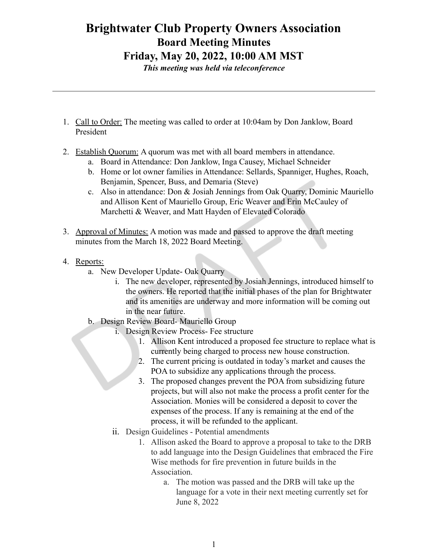## **Brightwater Club Property Owners Association Board Meeting Minutes Friday, May 20, 2022, 10:00 AM MST**

*This meeting was held via teleconference*

- 1. Call to Order: The meeting was called to order at 10:04am by Don Janklow, Board President
- 2. Establish Quorum: A quorum was met with all board members in attendance.
	- a. Board in Attendance: Don Janklow, Inga Causey, Michael Schneider
	- b. Home or lot owner families in Attendance: Sellards, Spanniger, Hughes, Roach, Benjamin, Spencer, Buss, and Demaria (Steve)
	- c. Also in attendance: Don & Josiah Jennings from Oak Quarry, Dominic Mauriello and Allison Kent of Mauriello Group, Eric Weaver and Erin McCauley of Marchetti & Weaver, and Matt Hayden of Elevated Colorado
- 3. Approval of Minutes: A motion was made and passed to approve the draft meeting minutes from the March 18, 2022 Board Meeting.
- 4. Reports:
	- a. New Developer Update- Oak Quarry
		- i. The new developer, represented by Josiah Jennings, introduced himself to the owners. He reported that the initial phases of the plan for Brightwater and its amenities are underway and more information will be coming out in the near future.
	- b. Design Review Board- Mauriello Group
		- i. Design Review Process- Fee structure
			- 1. Allison Kent introduced a proposed fee structure to replace what is currently being charged to process new house construction.
			- 2. The current pricing is outdated in today's market and causes the POA to subsidize any applications through the process.
			- 3. The proposed changes prevent the POA from subsidizing future projects, but will also not make the process a profit center for the Association. Monies will be considered a deposit to cover the expenses of the process. If any is remaining at the end of the process, it will be refunded to the applicant.
		- ii. Design Guidelines Potential amendments
			- 1. Allison asked the Board to approve a proposal to take to the DRB to add language into the Design Guidelines that embraced the Fire Wise methods for fire prevention in future builds in the Association.
				- a. The motion was passed and the DRB will take up the language for a vote in their next meeting currently set for June 8, 2022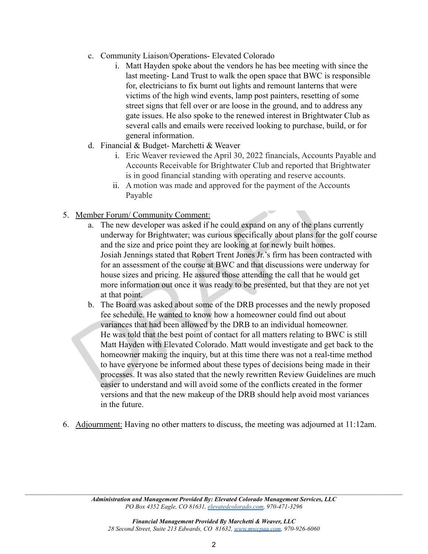- c. Community Liaison/Operations- Elevated Colorado
	- i. Matt Hayden spoke about the vendors he has bee meeting with since the last meeting- Land Trust to walk the open space that BWC is responsible for, electricians to fix burnt out lights and remount lanterns that were victims of the high wind events, lamp post painters, resetting of some street signs that fell over or are loose in the ground, and to address any gate issues. He also spoke to the renewed interest in Brightwater Club as several calls and emails were received looking to purchase, build, or for general information.
- d. Financial & Budget- Marchetti & Weaver
	- i. Eric Weaver reviewed the April 30, 2022 financials, Accounts Payable and Accounts Receivable for Brightwater Club and reported that Brightwater is in good financial standing with operating and reserve accounts.
	- ii. A motion was made and approved for the payment of the Accounts Payable
- 5. Member Forum/ Community Comment:
	- a. The new developer was asked if he could expand on any of the plans currently underway for Brightwater; was curious specifically about plans for the golf course and the size and price point they are looking at for newly built homes. Josiah Jennings stated that Robert Trent Jones Jr.'s firm has been contracted with for an assessment of the course at BWC and that discussions were underway for house sizes and pricing. He assured those attending the call that he would get more information out once it was ready to be presented, but that they are not yet at that point.
	- b. The Board was asked about some of the DRB processes and the newly proposed fee schedule. He wanted to know how a homeowner could find out about variances that had been allowed by the DRB to an individual homeowner. He was told that the best point of contact for all matters relating to BWC is still Matt Hayden with Elevated Colorado. Matt would investigate and get back to the homeowner making the inquiry, but at this time there was not a real-time method to have everyone be informed about these types of decisions being made in their processes. It was also stated that the newly rewritten Review Guidelines are much easier to understand and will avoid some of the conflicts created in the former versions and that the new makeup of the DRB should help avoid most variances in the future.
- 6. Adjournment: Having no other matters to discuss, the meeting was adjourned at 11:12am.

 $\mathcal{L}_\mathcal{L} = \{ \mathcal{L}_\mathcal{L} = \{ \mathcal{L}_\mathcal{L} = \{ \mathcal{L}_\mathcal{L} = \{ \mathcal{L}_\mathcal{L} = \{ \mathcal{L}_\mathcal{L} = \{ \mathcal{L}_\mathcal{L} = \{ \mathcal{L}_\mathcal{L} = \{ \mathcal{L}_\mathcal{L} = \{ \mathcal{L}_\mathcal{L} = \{ \mathcal{L}_\mathcal{L} = \{ \mathcal{L}_\mathcal{L} = \{ \mathcal{L}_\mathcal{L} = \{ \mathcal{L}_\mathcal{L} = \{ \mathcal{L}_\mathcal{$ *Administration and Management Provided By: Elevated Colorado Management Services, LLC PO Box 4352 Eagle, CO 81631, [elevatedcolorado.com](https://elevatedcolorado.com/), 970-471-3296*